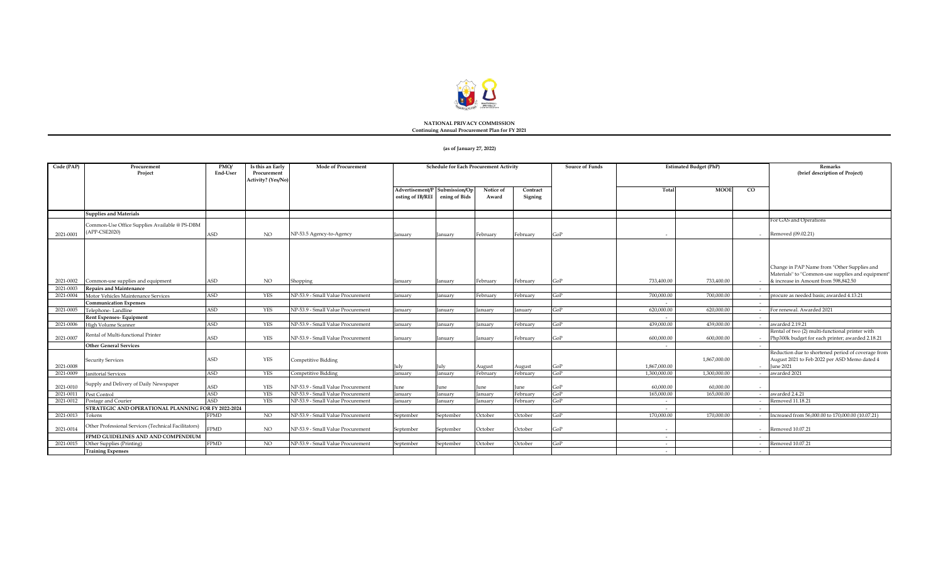

#### **NATIONAL PRIVACY COMMISSION Continuing Annual Procurement Plan for FY 2021**

#### **(as of January 27, 2022)**

| Code (PAP) | Procurement<br>Project                                         | PMO/<br>End-User | Is this an Early<br>Procurement<br>Activity? (Yes/No) | <b>Mode of Procurement</b>        | Schedule for Each Procurement Activity |                                |                    | <b>Estimated Budget (PhP)</b><br>Source of Funds |     |              | Remarks<br>(brief description of Project) |                                                                                                                   |
|------------|----------------------------------------------------------------|------------------|-------------------------------------------------------|-----------------------------------|----------------------------------------|--------------------------------|--------------------|--------------------------------------------------|-----|--------------|-------------------------------------------|-------------------------------------------------------------------------------------------------------------------|
|            |                                                                |                  |                                                       |                                   | Advertisement/P<br>osting of IB/REI    | Submission/Op<br>ening of Bids | Notice of<br>Award | Contract<br>Signing                              |     | Total        | <b>MOOE</b>                               | $_{\rm CO}$                                                                                                       |
|            | <b>Supplies and Materials</b>                                  |                  |                                                       |                                   |                                        |                                |                    |                                                  |     |              |                                           |                                                                                                                   |
| 2021-0001  | Common-Use Office Supplies Available @ PS-DBM<br>(APP-CSE2020) | ASD              | NO                                                    | NP-53.5 Agency-to-Agency          | January                                | January                        | February           | February                                         | GoP |              |                                           | For GAS and Operations<br>Removed (09.02.21)<br>$\sim$                                                            |
|            |                                                                |                  |                                                       |                                   |                                        |                                |                    |                                                  |     |              |                                           | Change in PAP Name from "Other Supplies and<br>Materials" to "Common-use supplies and equipment"                  |
| 2021-0002  | Common-use supplies and equipment                              | <b>ASD</b>       | NO.                                                   | Shopping                          | January                                | January                        | February           | February                                         | GoP | 733,400.00   | 733,400.00                                | & increase in Amount from 598,842.50                                                                              |
| 2021-0003  | <b>Repairs and Maintenance</b>                                 |                  | <b>YES</b>                                            | NP-53.9 - Small Value Procurement |                                        |                                |                    |                                                  | GoP | 700,000.00   | 700,000,00                                | procure as needed basis; awarded 4.13.21                                                                          |
| 2021-0004  | Motor Vehicles Maintenance Services                            | <b>ASD</b>       |                                                       |                                   | Ianuarv                                | anuary                         | February           | February                                         |     |              |                                           |                                                                                                                   |
| 2021-0005  | <b>Communication Expenses</b><br>Telephone-Landline            | <b>ASD</b>       | YES                                                   | NP-53.9 - Small Value Procurement | January                                | anuary                         | January            | January                                          | GoP | 620,000.00   | 620,000.00                                | For renewal. Awarded 2021                                                                                         |
|            | <b>Rent Expenses- Equipment</b>                                |                  |                                                       |                                   |                                        |                                |                    |                                                  |     |              |                                           | $\overline{a}$                                                                                                    |
| 2021-0006  | High Volume Scanner                                            | <b>ASD</b>       | YES                                                   | NP-53.9 - Small Value Procurement | January                                | anuary                         | anuary             | February                                         | GoP | 439,000.00   | 439,000,00                                | awarded 2.19.21                                                                                                   |
| 2021-0007  | Rental of Multi-functional Printer                             | ASD              | <b>YES</b>                                            | NP-53.9 - Small Value Procurement | anuary                                 | Ianuarv                        | January            | February                                         | GoP | 600.000.00   | 600,000,00                                | Rental of two (2) multi-functional printer with<br>Php300k budget for each printer; awarded 2.18.21               |
|            | <b>Other General Services</b>                                  |                  |                                                       |                                   |                                        |                                |                    |                                                  |     |              |                                           |                                                                                                                   |
| 2021-0008  | <b>Security Services</b>                                       | ASD              | <b>YES</b>                                            | <b>Competitive Bidding</b>        | Julv                                   | ulv                            | August             | August                                           | GoP | 1.867.000.00 | 1,867,000.00                              | Reduction due to shortened period of coverage from<br>August 2021 to Feb 2022 per ASD Memo dated 4<br>- June 2021 |
| 2021-0009  | <b>Janitorial Services</b>                                     | <b>ASD</b>       | <b>YES</b>                                            | Competitive Bidding               | January                                | anuary                         | February           | February                                         | GoP | 1.300.000.00 | 1,300,000,00                              | awarded 2021                                                                                                      |
| 2021-0010  | Supply and Delivery of Daily Newspaper                         | <b>ASD</b>       | <b>YES</b>                                            | NP-53.9 - Small Value Procurement | June                                   | une                            | June               | une                                              | GoP | 60,000.00    | 60,000.00                                 |                                                                                                                   |
| 2021-0011  | Pest Control                                                   | <b>ASD</b>       | <b>YES</b>                                            | NP-53.9 - Small Value Procurement | Ianuarv                                | anuary                         | anuarv             | February                                         | GoP | 165,000,00   | 165,000,00                                | awarded 2.4.21<br>$\overline{a}$                                                                                  |
| 2021-0012  | Postage and Courier                                            | <b>ASD</b>       | <b>YES</b>                                            | NP-53.9 - Small Value Procurement | January                                | anuary                         | lanuarv            | February                                         | GoP | $\sim$       |                                           | Removed 11.18.21                                                                                                  |
|            | STRATEGIC AND OPERATIONAL PLANNING FOR FY 2022-2024            |                  |                                                       |                                   |                                        |                                |                    |                                                  |     |              |                                           |                                                                                                                   |
| 2021-0013  | Tokens                                                         | <b>FPMD</b>      | NO.                                                   | NP-53.9 - Small Value Procurement | September                              | September                      | October            | October                                          | GoP | 170,000.00   | 170,000.00                                | Increased from 56,000.00 to 170,000.00 (10.07.21)                                                                 |
| 2021-0014  | Other Professional Services (Technical Facilitators)           | <b>FPMD</b>      | $_{\rm NO}$                                           | NP-53.9 - Small Value Procurement | September                              | September                      | October            | October                                          | GoP |              |                                           | - Removed 10.07.21                                                                                                |
|            | FPMD GUIDELINES AND AND COMPENDIUM                             |                  |                                                       |                                   |                                        |                                |                    |                                                  |     | $\sim$       |                                           | $\overline{\phantom{a}}$                                                                                          |
| 2021-0015  | Other Supplies (Printing)<br><b>Training Expenses</b>          | <b>FPMD</b>      | <b>NO</b>                                             | NP-53.9 - Small Value Procurement | September                              | September                      | October            | October                                          | GoP | $\sim$       |                                           | Removed 10.07.21<br>$\sim$                                                                                        |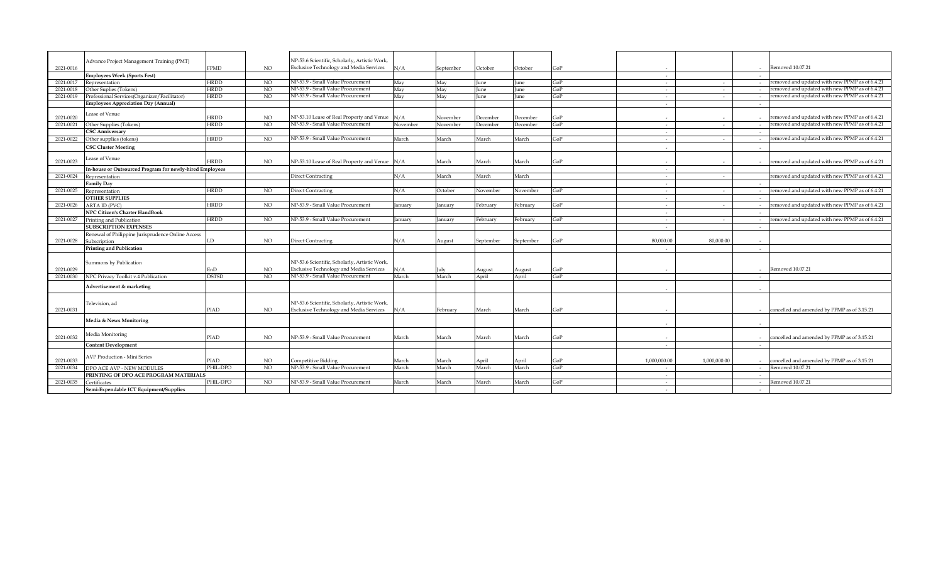|           |                                                          |              |                | NP-53.6 Scientific, Scholarly, Artistic Work,  |          |           |             |           |     |                |              |                                                |
|-----------|----------------------------------------------------------|--------------|----------------|------------------------------------------------|----------|-----------|-------------|-----------|-----|----------------|--------------|------------------------------------------------|
| 2021-0016 | Advance Project Management Training (PMT)                | <b>FPMD</b>  | NO.            | <b>Exclusive Technology and Media Services</b> | N/A      | September | October     | October   | GoP |                | $\sim$       | Removed 10.07.21                               |
|           | <b>Employees Week (Sports Fest)</b>                      |              |                |                                                |          |           |             |           |     | $\sim$         | $\sim$       |                                                |
| 2021-0017 | Representation                                           | <b>HRDD</b>  | NO             | NP-53.9 - Small Value Procurement              | May      | May       | June        | June      | GoP | $\sim$         | $\sim$       | removed and updated with new PPMP as of 6.4.21 |
| 2021-0018 | Other Suplies (Tokens)                                   | <b>HRDD</b>  | N <sub>O</sub> | NP-53.9 - Small Value Procurement              | May      | May       | June        | June      | GoP | $\sim$         | $\sim$       | removed and updated with new PPMP as of 6.4.21 |
| 2021-0019 | Professional Services(Organizer/Facilitator)             | HRDD         | N <sub>O</sub> | NP-53.9 - Small Value Procurement              | May      | May       | <b>Iune</b> | June      | GoP | $\sim$         | $\sim$       | removed and updated with new PPMP as of 6.4.21 |
|           | <b>Employees Appreciation Day (Annual)</b>               |              |                |                                                |          |           |             |           |     | $\sim$         | $\sim$       |                                                |
|           |                                                          |              |                |                                                |          |           |             |           |     |                |              |                                                |
| 2021-0020 | Lease of Venue                                           | <b>HRDD</b>  | NO             | NP-53.10 Lease of Real Property and Venue      | N/A      | November  | December    | December  | GoP | $\sim$         |              | removed and updated with new PPMP as of 6.4.21 |
| 2021-0021 | Other Supplies (Tokens)                                  | <b>HRDD</b>  | NO             | NP-53.9 - Small Value Procurement              | November | November  | December    | December  | GoP | $\sim$         | $\sim$       | removed and updated with new PPMP as of 6.4.21 |
|           | <b>CSC Anniversary</b>                                   |              |                |                                                |          |           |             |           |     | $\sim$         |              |                                                |
| 2021-0022 | Other supplies (tokens)                                  | <b>HRDD</b>  | <b>NO</b>      | NP-53.9 - Small Value Procurement              | March    | March     | March       | March     | GoP | $\overline{a}$ | $\sim$       | removed and updated with new PPMP as of 6.4.21 |
|           | <b>CSC Cluster Meeting</b>                               |              |                |                                                |          |           |             |           |     |                |              |                                                |
|           |                                                          |              |                |                                                |          |           |             |           |     |                |              |                                                |
| 2021-0023 | Lease of Venue                                           | HRDD         | NO             | NP-53.10 Lease of Real Property and Venue      | N/A      | March     | March       | March     | GoP | $\sim$         |              | removed and updated with new PPMP as of 6.4.21 |
|           | In-house or Outsourced Program for newly-hired Employees |              |                |                                                |          |           |             |           |     | $\sim$         |              |                                                |
| 2021-0024 | Representation                                           |              |                | Direct Contracting                             | N/A      | March     | March       | March     |     | $\sim$         | $\sim$       | removed and updated with new PPMP as of 6.4.21 |
|           | <b>Family Day</b>                                        |              |                |                                                |          |           |             |           |     | $\sim$         |              |                                                |
| 2021-0025 | Representation                                           | <b>HRDD</b>  | NO             | <b>Direct Contracting</b>                      | N/A      | October   | November    | November  | GoP | $\sim$         | $\sim$       | removed and updated with new PPMP as of 6.4.21 |
|           | <b>OTHER SUPPLIES</b>                                    |              |                |                                                |          |           |             |           |     | $\sim$         |              |                                                |
| 2021-0026 | ARTA ID (PVC)                                            | <b>HRDD</b>  | NO             | NP-53.9 - Small Value Procurement              | January  | anuary    | February    | February  | GoP | $\sim$         |              | removed and updated with new PPMP as of 6.4.21 |
|           | NPC Citizen's Charter HandBook                           |              |                |                                                |          |           |             |           |     | $\sim$         |              |                                                |
| 2021-0027 | Printing and Publication                                 | <b>HRDD</b>  | NO             | NP-53.9 - Small Value Procuremen               | Ianuarv  | anuary    | February    | February  | GoP | $\sim$         |              | removed and updated with new PPMP as of 6.4.21 |
|           | <b>SUBSCRIPTION EXPENSES</b>                             |              |                |                                                |          |           |             |           |     | $\sim$         | $\sim$       |                                                |
|           | Renewal of Philippine Jurisprudence Online Access        |              |                |                                                |          |           |             |           |     |                |              |                                                |
| 2021-0028 | Subscription                                             | LD           | NO.            | <b>Direct Contracting</b>                      | N/A      | August    | September   | September | GoP | 80.000.00      | 80,000,00    |                                                |
|           | <b>Printing and Publication</b>                          |              |                |                                                |          |           |             |           |     |                | $\sim$       |                                                |
|           |                                                          |              |                |                                                |          |           |             |           |     |                |              |                                                |
|           | Summons by Publication                                   |              |                | NP-53.6 Scientific, Scholarly, Artistic Work,  |          |           |             |           |     |                |              |                                                |
| 2021-0029 |                                                          | EnD          | NO             | <b>Exclusive Technology and Media Services</b> | N/A      | July      | August      | August    | GoP |                |              | Removed 10.07.21                               |
| 2021-0030 | NPC Privacy Toolkit v.4 Publication                      | <b>DSTSD</b> | N <sub>O</sub> | NP-53.9 - Small Value Procurement              | March    | March     | April       | April     | GoP |                |              |                                                |
|           | Advertisement & marketing                                |              |                |                                                |          |           |             |           |     |                |              |                                                |
|           |                                                          |              |                |                                                |          |           |             |           |     |                |              |                                                |
|           | Television, ad                                           |              |                | NP-53.6 Scientific, Scholarly, Artistic Work,  |          |           |             |           |     |                |              |                                                |
| 2021-0031 |                                                          | PIAD         | NO.            | Exclusive Technology and Media Services        | N/A      | February  | March       | March     | GoP |                |              | cancelled and amended by PPMP as of 3.15.21    |
|           |                                                          |              |                |                                                |          |           |             |           |     |                |              |                                                |
|           | Media & News Monitoring                                  |              |                |                                                |          |           |             |           |     |                |              |                                                |
|           | Media Monitoring                                         |              |                |                                                |          |           |             |           |     |                |              |                                                |
| 2021-0032 |                                                          | PIAD         | NO.            | NP-53.9 - Small Value Procurement              | March    | March     | March       | March     | GoP |                |              | cancelled and amended by PPMP as of 3.15.21    |
|           | <b>Content Development</b>                               |              |                |                                                |          |           |             |           |     | $\sim$         |              |                                                |
|           | AVP Production - Mini Series                             |              |                |                                                |          |           |             |           |     |                |              |                                                |
| 2021-0033 |                                                          | PIAD         | NO.            | Competitive Bidding                            | March    | March     | April       | April     | GoP | 1.000.000.00   | 1.000.000.00 | cancelled and amended by PPMP as of 3.15.21    |
| 2021-0034 | DPO ACE AVP - NEW MODULES                                | PHIL-DPO     | NO.            | NP-53.9 - Small Value Procurement              | March    | March     | March       | March     | GoP | $\sim$         |              | Removed 10.07.21                               |
|           | PRINTING OF DPO ACE PROGRAM MATERIALS                    |              |                |                                                |          |           |             |           |     | $\sim$         |              |                                                |
| 2021-0035 | Certificates                                             | PHIL-DPO     | NO             | NP-53.9 - Small Value Procurement              | March    | March     | March       | March     | GoP | $\sim$         |              | Removed 10.07.21                               |
|           | Semi-Expendable ICT Equipment/Supplies                   |              |                |                                                |          |           |             |           |     |                |              |                                                |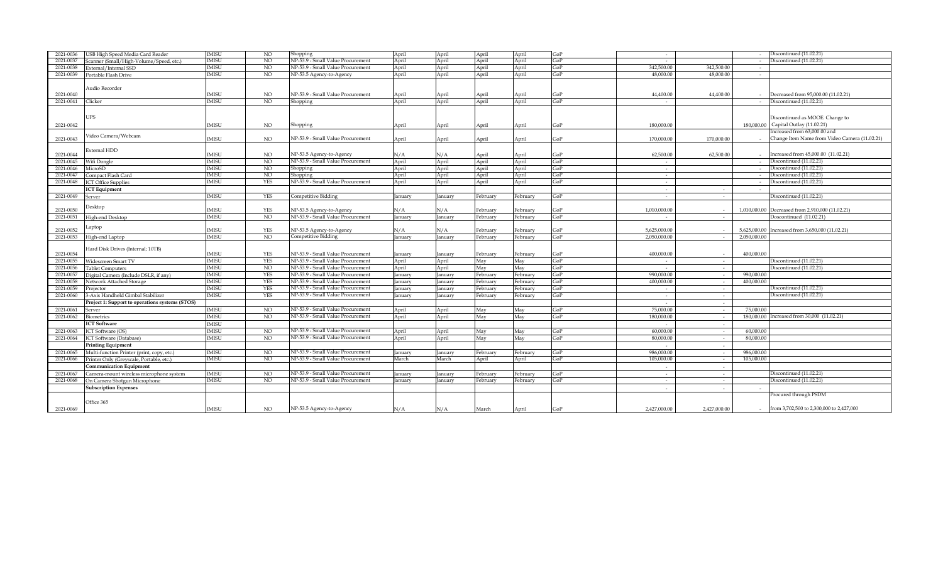| 2021-0036 | USB High Speed Media Card Reader                          | <b>IMISU</b> | <b>NO</b>      | Shopping                          | April   | April   | April    | April    | GoP | $\sim$       |                          |              | Discontinued (11.02.21)                                |
|-----------|-----------------------------------------------------------|--------------|----------------|-----------------------------------|---------|---------|----------|----------|-----|--------------|--------------------------|--------------|--------------------------------------------------------|
| 2021-0037 | Scanner (Small/High-Volume/Speed, etc.)                   | <b>IMISU</b> | N <sub>O</sub> | NP-53.9 - Small Value Procurement | April   | April   | April    | April    | GoP | $\sim$       |                          |              | Discontinued (11.02.21)                                |
| 2021-0038 | External/Internal SSD                                     | <b>IMISU</b> | NO.            | NP-53.9 - Small Value Procurement | April   | April   | April    | April    | GoP | 342,500.00   | 342,500.00               |              |                                                        |
| 2021-0039 | Portable Flash Drive                                      | <b>IMISU</b> | N <sub>O</sub> | NP-53.5 Agency-to-Agency          | April   | April   | April    | April    | GoP | 48,000.00    | 48,000,00                | $\sim$       |                                                        |
|           |                                                           |              |                |                                   |         |         |          |          |     |              |                          |              |                                                        |
|           | Audio Recorder                                            |              |                |                                   |         |         |          |          |     |              |                          |              |                                                        |
| 2021-0040 |                                                           | MISU         | NO             | NP-53.9 - Small Value Procurement | April   | April   | April    | April    | GoP | 44,400.00    | 44,400.00                |              | Decreased from 95,000.00 (11.02.21)                    |
| 2021-0041 | Clicker                                                   | <b>IMISU</b> | N <sub>O</sub> | Shopping                          | April   | April   | April    | April    | GoP |              |                          |              | Discontinued (11.02.21)                                |
|           |                                                           |              |                |                                   |         |         |          |          |     |              |                          |              |                                                        |
|           | UPS                                                       |              |                |                                   |         |         |          |          |     |              |                          |              |                                                        |
|           |                                                           |              |                |                                   |         |         |          |          |     |              |                          |              | Discontinued as MOOE. Change to                        |
| 2021-0042 |                                                           | <b>IMISU</b> | NO.            | Shopping                          | April   | April   | April    | April    | GoP | 180,000.00   |                          |              | 180,000,00 Capital Outlay (11.02.21)                   |
|           | Video Camera/Webcam                                       |              |                |                                   |         |         |          |          |     |              |                          |              | Increased from 63,000,00 and                           |
| 2021-0043 |                                                           | <b>IMISU</b> | NO.            | NP-53.9 - Small Value Procurement | April   | April   | April    | April    | GoP | 170,000.00   | 170,000,00               |              | Change Item Name from Video Camera (11.02.21)          |
|           | External HDD                                              |              |                |                                   |         |         |          |          |     |              |                          |              |                                                        |
| 2021-0044 |                                                           | <b>IMISU</b> | NO.            | NP-53.5 Agency-to-Agency          | N/A     | N/A     | April    | April    | GoP | 62.500.00    | 62.500.00                |              | - Increased from 45,000.00 (11.02.21)                  |
| 2021-0045 | Wifi Dongle                                               | <b>IMISU</b> | NO.            | NP-53.9 - Small Value Procurement | April   | April   | April    | April    | GoP | $\sim$       |                          |              | Discontinued (11.02.21)                                |
| 2021-0046 | MicroSD                                                   | <b>IMISU</b> | NO.            | Shopping                          | April   | April   | April    | April    | GoP | $\sim$       |                          |              | Discontinued (11.02.21)                                |
| 2021-0047 | Compact Flash Card                                        | <b>IMISU</b> | NO             | Shopping                          | April   | April   | April    | April    | GoP | $\sim$       |                          |              | Discontinued (11.02.21)                                |
| 2021-0048 | <b>ICT Office Supplies</b>                                | <b>IMISU</b> | <b>YES</b>     | NP-53.9 - Small Value Procurement | April   | April   | April    | April    | GoP | $\sim$       |                          |              | Discontinued (11.02.21)                                |
|           | <b>ICT</b> Equipment                                      |              |                |                                   |         |         |          |          |     | $\sim$       | $\overline{\phantom{a}}$ |              |                                                        |
| 2021-0049 | Server                                                    | <b>IMISU</b> | <b>YES</b>     | Competitive Bidding               | January | anuary  | February | February | GoP | $\sim$       | $\sim$                   |              | Discontinued (11.02.21)                                |
|           |                                                           |              |                |                                   |         |         |          |          |     |              |                          |              |                                                        |
| 2021-0050 | Desktop                                                   | <b>IMISU</b> | <b>YES</b>     | NP-53.5 Agency-to-Agency          | N/A     | N/A     | February | February | GoP | 1.010.000.00 |                          |              | 1.010.000.00 Decreased from 2,910,000 (11.02.21)       |
| 2021-0051 | High-end Desktop                                          | <b>IMISU</b> | N <sub>O</sub> | NP-53.9 - Small Value Procurement | January | anuary  | February | February | GoP | $\sim$       | $\sim$                   |              | Doscontinued (11.02.21)                                |
|           |                                                           |              |                |                                   |         |         |          |          |     |              |                          |              |                                                        |
| 2021-0052 | Laptop                                                    | <b>IMISU</b> | <b>YES</b>     | NP-53.5 Agency-to-Agency          | N/A     | N/A     | February | February | GoP | 5.625.000.00 |                          |              | 5,625,000.00 Increased from 3,650,000 (11.02.21)       |
| 2021-0053 | High-end Laptop                                           | <b>IMISU</b> | N <sub>O</sub> | Competitive Bidding               | anuary  | lanuarv | February | February | GoP | 2.050.000.00 |                          | 2.050.000.00 |                                                        |
|           |                                                           |              |                |                                   |         |         |          |          |     |              |                          |              |                                                        |
| 2021-0054 | Hard Disk Drives (Internal; 10TB)                         | <b>IMISU</b> | <b>YES</b>     | NP-53.9 - Small Value Procurement | January | anuary  | February | February | GoP | 400,000.00   |                          | 400,000.00   |                                                        |
| 2021-0055 | Widescreen Smart TV                                       | <b>IMISU</b> | <b>YES</b>     | NP-53.9 - Small Value Procurement | April   | April   | May      | May      | GoP | $\sim$       | $\sim$                   |              | Discontinued (11.02.21)                                |
| 2021-0056 | <b>Tablet Computers</b>                                   | <b>IMISU</b> | NO.            | NP-53.9 - Small Value Procurement | April   | April   | May      | May      | GoP | $\sim$       | $\sim$                   |              | Discontinued (11.02.21)                                |
| 2021-0057 | Digital Camera (Include DSLR, if any)                     | <b>IMISU</b> | <b>YES</b>     | NP-53.9 - Small Value Procurement | Ianuarv | anuary  | February | February | GoP | 990.000.00   | $\sim$                   | 990,000.00   |                                                        |
| 2021-0058 | Network Attached Storage                                  | <b>IMISU</b> | <b>YES</b>     | NP-53.9 - Small Value Procurement | anuary  | anuary  | February | ebruary: | GoP | 400.000.00   | $\sim$                   | 400,000.00   |                                                        |
| 2021-0059 | Projector                                                 | <b>IMISU</b> | <b>YES</b>     | NP-53.9 - Small Value Procurement | Ianuarv | anuary  | February | February | GoP |              | $\sim$                   |              | Discontinued (11.02.21)                                |
| 2021-0060 | 3-Axis Handheld Gimbal Stabilizer                         | <b>IMISU</b> | <b>YES</b>     | NP-53.9 - Small Value Procurement | anuary  | anuary  | February | February | GoP | $\sim$       | $\sim$                   |              | Discontinued (11.02.21)                                |
|           |                                                           |              |                |                                   |         |         |          |          |     | $\sim$       | $\sim$                   |              |                                                        |
| 2021-0061 | Project 1: Support to operations systems (STOS)<br>Server | <b>IMISU</b> | NO.            | NP-53.9 - Small Value Procurement | April   | April   | May      | May      | GoP | 75,000.00    | $\sim$                   | 75,000.00    |                                                        |
| 2021-0062 | <b>Biometrics</b>                                         | <b>IMISU</b> | NO.            | NP-53.9 - Small Value Procurement | April   | April   | May      | May      | GoP | 180,000.00   | $\sim$                   | 180,000.00   | Increased from 30,000 (11.02.21)                       |
|           | <b>ICT Software</b>                                       | <b>IMISU</b> |                |                                   |         |         |          |          |     |              |                          |              |                                                        |
|           |                                                           |              |                |                                   |         |         |          |          |     | $\sim$       | $\sim$                   |              |                                                        |
| 2021-0063 | ICT Software (OS)                                         | <b>IMISU</b> | <b>NO</b>      | NP-53.9 - Small Value Procurement | April   | April   | May      | May      | GoP | 60,000,00    | $\sim$                   | 60,000,00    |                                                        |
| 2021-0064 | <b>ICT</b> Software (Database)                            | <b>IMISU</b> | NO.            | NP-53.9 - Small Value Procurement | April   | April   | May      | May      | GoP | 80,000.00    | $\sim$                   | 80,000.00    |                                                        |
|           | <b>Printing Equipment</b>                                 |              |                |                                   |         |         |          |          |     |              | $\sim$                   |              |                                                        |
| 2021-0065 | Multi-function Printer (print, copy, etc.)                | <b>IMISU</b> | NO.            | NP-53.9 - Small Value Procurement | January | anuary  | February | February | GoP | 986,000.00   | $\sim$                   | 986,000.00   |                                                        |
| 2021-0066 | Printer Only (Greyscale, Portable, etc.)                  | <b>IMISU</b> | N <sub>O</sub> | NP-53.9 - Small Value Procurement | March   | March   | April    | April    | GoP | 105,000.00   | $\sim$                   | 105,000.00   |                                                        |
|           | <b>Communication Equipment</b>                            |              |                |                                   |         |         |          |          |     | $\sim$       | $\sim$                   |              |                                                        |
| 2021-0067 | Camera-mount wireless microphone system                   | <b>IMISU</b> | NO             | NP-53.9 - Small Value Procurement | January | anuary  | February | Februarv | GoP | $\sim$       | $\sim$                   |              | Discontinued (11.02.21)                                |
| 2021-0068 | On Camera Shotgun Microphone                              | <b>IMISU</b> | NO.            | NP-53.9 - Small Value Procurement | anuary  | anuary  | February | ebruary? | GoP | $\sim$       | $\sim$                   |              | Discontinued (11.02.21)                                |
|           | <b>Subscription Expenses</b>                              |              |                |                                   |         |         |          |          |     | $\sim$       | $\sim$                   |              |                                                        |
|           |                                                           |              |                |                                   |         |         |          |          |     |              |                          |              | Procured through PSDM                                  |
|           | Office 365                                                |              |                |                                   |         |         |          |          |     |              |                          |              |                                                        |
| 2021-0069 |                                                           | MISU         | NO.            | NP-53.5 Agency-to-Agency          | N/A     | N/A     | March    | April    | GoP | 2.427.000.00 | 2.427.000.00             |              | $\frac{1}{2}$ from 3,702,500 to 2,300,000 to 2,427,000 |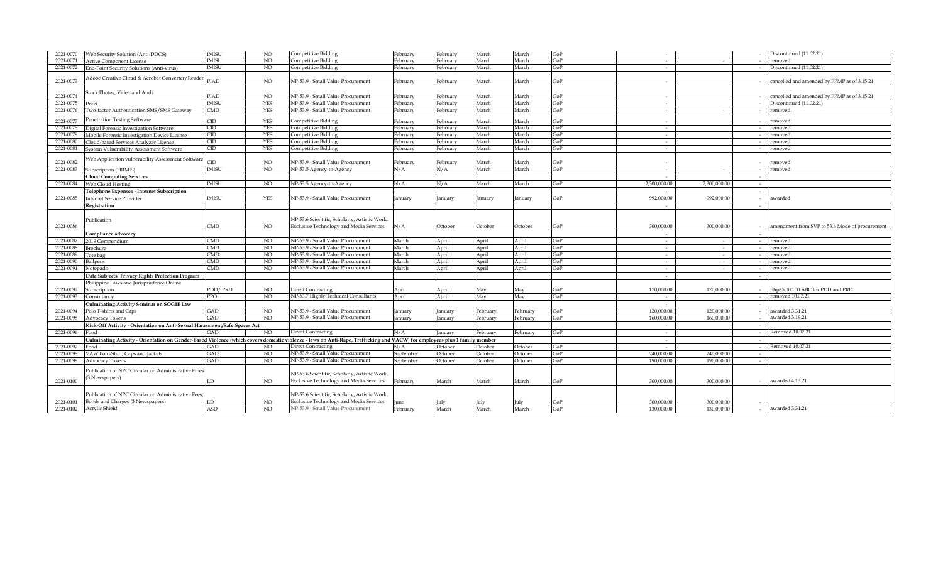| 2021-0070 | Web Security Solution (Anti-DDOS)                                                                                                                                         | <b>IMISU</b>            | NO.             | Competitive Bidding                           | February  | February | March    | March          | GoP |              |              |        | Discontinued (11.02.21)                          |
|-----------|---------------------------------------------------------------------------------------------------------------------------------------------------------------------------|-------------------------|-----------------|-----------------------------------------------|-----------|----------|----------|----------------|-----|--------------|--------------|--------|--------------------------------------------------|
| 2021-0071 | <b>Active Component License</b>                                                                                                                                           | <b>IMISU</b>            | NO.             | Competitive Bidding                           | February  | ebruary  | March    | March          | GoP | $\sim$       |              |        | emoved                                           |
| 2021-0072 | End-Point Security Solutions (Anti-virus)                                                                                                                                 | <b>IMISU</b>            | NO.             | Competitive Bidding                           | February  | ebruary  | March    | March          | GoP | $\sim$       |              |        | iscontinued (11.02.21)                           |
|           |                                                                                                                                                                           |                         |                 |                                               |           |          |          |                |     |              |              |        |                                                  |
|           | Adobe Creative Cloud & Acrobat Converter/Reader                                                                                                                           | PIAD                    | NO.             | NP-53.9 - Small Value Procurement             |           |          |          | March          | GoP |              |              |        | cancelled and amended by PPMP as of 3.15.21      |
| 2021-0073 |                                                                                                                                                                           |                         |                 |                                               | February  | February | March    |                |     |              |              |        |                                                  |
|           | Stock Photos, Video and Audio                                                                                                                                             |                         |                 |                                               |           |          |          |                |     |              |              |        |                                                  |
| 2021-0074 |                                                                                                                                                                           | PIAD                    | NO.             | NP-53.9 - Small Value Procurement             | February  | February | March    | March          | GoP |              |              |        | cancelled and amended by PPMP as of 3.15.21      |
| 2021-0075 | Prezi                                                                                                                                                                     | <b>IMISU</b>            | <b>YES</b>      | NP-53.9 - Small Value Procurement             | February  | February | March    | March          | GoP | $\sim$       |              |        | Discontinued (11.02.21)                          |
| 2021-0076 | Wo-factor Authentication SMS/SMS Gateway                                                                                                                                  | CMD                     | <b>YES</b>      | NP-53.9 - Small Value Procurement             | February  | February | March    | March          | GoP | $\sim$       | $\sim$       |        | emoved                                           |
|           | Penetration Testing Software                                                                                                                                              |                         |                 |                                               |           |          |          |                |     |              |              |        |                                                  |
| 2021-0077 |                                                                                                                                                                           | CID                     | <b>YES</b>      | Competitive Bidding                           | February  | February | March    | March          | ToP |              |              |        | emoved                                           |
| 2021-0078 | Digital Forensic Investigation Software                                                                                                                                   | CID                     | <b>YES</b>      | Competitive Bidding                           | February  | ebruary  | March    | March          | GoP |              |              |        | emoved                                           |
| 2021-0079 | Mobile Forensic Investigation Device License                                                                                                                              | CID                     | <b>YES</b>      | Competitive Bidding                           | February  | February | March    | March          | GoP | $\sim$       |              |        | emoved                                           |
| 2021-0080 | Cloud-based Services Analyzer License                                                                                                                                     | CID                     | <b>YES</b>      | Competitive Bidding                           | Februarv  | February | March    | March          | GoP | $\sim$       |              |        | emoved                                           |
| 2021-0081 | System Vulnerability Assessment Software                                                                                                                                  | CID                     | <b>YES</b>      | Competitive Bidding                           | February  | February | March    | March          | GoP | $\sim$       |              |        | emoved                                           |
|           | Veb Application vulnerability Assessment Software                                                                                                                         |                         |                 |                                               |           |          |          |                |     |              |              |        |                                                  |
| 2021-0082 |                                                                                                                                                                           | CD                      | NO.             | NP-53.9 - Small Value Procurement             | Februarv  | February | March    | March          | GoP |              |              |        | emoved                                           |
| 2021-0083 | Subscription (HRMIS)                                                                                                                                                      | <b>IMISU</b>            | NO.             | NP-53.5 Agency-to-Agency                      | N/A       | N/A      | March    | March          | GoP |              |              |        | emoved                                           |
|           | <b>Cloud Computing Services</b>                                                                                                                                           |                         |                 |                                               |           |          |          |                |     |              |              |        |                                                  |
| 2021-0084 | Web Cloud Hosting                                                                                                                                                         | <b>IMISU</b>            | NO              | NP-53.5 Agency-to-Agency                      | N/A       | N/A      | March    | March          | GoP | 2,300,000.00 | 2,300,000.00 |        |                                                  |
|           | Telephone Expenses - Internet Subscription                                                                                                                                |                         |                 |                                               |           |          |          |                |     |              |              |        |                                                  |
| 2021-0085 | <b>Internet Service Provider</b>                                                                                                                                          | <b>IMISU</b>            | YES             | NP-53.9 - Small Value Procurement             | January   | lanuary  | January  | <b>January</b> | GoP | 992,000.00   | 992,000.00   |        | awarded                                          |
|           |                                                                                                                                                                           |                         |                 |                                               |           |          |          |                |     |              |              |        |                                                  |
|           | Registration                                                                                                                                                              |                         |                 |                                               |           |          |          |                |     |              |              |        |                                                  |
|           |                                                                                                                                                                           |                         |                 |                                               |           |          |          |                |     |              |              |        |                                                  |
|           | Publication                                                                                                                                                               |                         |                 | NP-53.6 Scientific, Scholarly, Artistic Work, |           |          |          |                |     |              |              |        |                                                  |
| 2021-0086 |                                                                                                                                                                           | CMD                     | NO              | Exclusive Technology and Media Services       | N/A       | October  | October  | October        | GoP | 300,000.00   | 300.000.00   |        | - amendment from SVP to 53.6 Mode of procurement |
|           | Compliance advocacy                                                                                                                                                       |                         |                 |                                               |           |          |          |                |     | $\sim$       |              |        |                                                  |
| 2021-0087 | 2019 Compendium                                                                                                                                                           | CMD                     | <b>NO</b>       | NP-53.9 - Small Value Procurement             | March     | April    | April    | April          | GoP | $\sim$       | $\sim$       |        | emoved                                           |
| 2021-0088 | Brochure                                                                                                                                                                  | $\overline{\text{CMD}}$ | N <sub>O</sub>  | NP-53.9 - Small Value Procurement             | March     | April    | April    | April          | GoP | $\sim$       | $\sim$       |        | emoved                                           |
| 2021-0089 | Tote bag                                                                                                                                                                  | CMD                     | NO              | NP-53.9 - Small Value Procurement             | March     | April    | April    | April          | GoP | $\sim$       | $\sim$       |        | emoved                                           |
| 2021-0090 | allpens                                                                                                                                                                   | $\overline{\text{CMD}}$ | <b>NO</b>       | NP-53.9 - Small Value Procurement             | March     | April    | April    | April          | GoP |              |              |        | emoved                                           |
| 2021-0091 | Notepads                                                                                                                                                                  | <b>CMD</b>              | NO <sub>1</sub> | NP-53.9 - Small Value Procurement             | March     | April    | April    | April          | GoP | $\sim$       | $\sim$       |        | emoved                                           |
|           | Data Subjects' Privacy Rights Protection Program                                                                                                                          |                         |                 |                                               |           |          |          |                |     | $\sim$       |              |        |                                                  |
|           |                                                                                                                                                                           |                         |                 |                                               |           |          |          |                |     |              |              |        |                                                  |
|           | Philippine Laws and Jurisprudence Online                                                                                                                                  |                         |                 |                                               |           |          |          |                |     |              |              |        | Php85,000.00 ABC for PDD and PRD                 |
| 2021-0092 | Subscription                                                                                                                                                              | PDD/PRD                 | NO.             | <b>Direct Contracting</b>                     | April     | April    | May      | May            | GoP | 170,000.00   | 170,000.00   |        |                                                  |
| 2021-0093 | Consultancy                                                                                                                                                               | PPO                     | NO.             | NP-53.7 Highly Technical Consultants          | April     | April    | May      | May            | GoP | $\sim$       |              |        | emoved 10.07.21                                  |
|           | <b>Culminating Activity Seminar on SOGIE Law</b>                                                                                                                          |                         |                 |                                               |           |          |          |                |     | $\sim$       |              | $\sim$ |                                                  |
| 2021-0094 | Polo T-shirts and Caps                                                                                                                                                    | GAD                     | <b>NO</b>       | NP-53.9 - Small Value Procurement             | January   | anuary   | February | February       | GoP | 120,000.00   | 120.000.00   |        | awarded 3.31.21                                  |
| 2021-0095 | <b>Advocacy Tokens</b>                                                                                                                                                    | GAD                     | N <sub>O</sub>  | NP-53.9 - Small Value Procurement             | Ianuarv   | anuary   | February | February       | GoP | 160.000.00   | 160,000.00   |        | awarded 3.19.21                                  |
|           | Kick-Off Activity - Orientation on Anti-Sexual Harassment/Safe Spaces Act                                                                                                 |                         |                 |                                               |           |          |          |                |     |              |              |        |                                                  |
| 2021-0096 | 'ood                                                                                                                                                                      | GAD                     | NO.             | <b>Direct Contracting</b>                     | N/A       | anuary   | February | ebruary        | GoP | $\sim$       |              |        | Removed 10.07.21                                 |
|           | Culminating Activity - Orientation on Gender-Based Violence (which covers domestic violence - laws on Anti-Rape, Trafficking and VACW) for employees plus 1 family member |                         |                 |                                               |           |          |          |                |     | $\sim$       |              |        |                                                  |
| 2021-0097 | Food                                                                                                                                                                      | GAD                     | NO              | <b>Direct Contracting</b>                     | N/A       | October  | October  | October        | GoP | $\sim$       |              |        | Removed 10.07.21                                 |
| 2021-0098 | VAW Polo-Shirt, Caps and Jackets                                                                                                                                          | GAD                     | NO.             | NP-53.9 - Small Value Procurement             | September | October  | October  | October        | GoP | 240,000.00   | 240,000.00   |        |                                                  |
| 2021-0099 | Advocacy Tokens                                                                                                                                                           | GAD                     | NO.             | NP-53.9 - Small Value Procurement             | September | October  | October  | October        | GoP | 190,000.00   | 190,000.00   | $\sim$ |                                                  |
|           |                                                                                                                                                                           |                         |                 |                                               |           |          |          |                |     |              |              |        |                                                  |
|           | Publication of NPC Circular on Administrative Fines                                                                                                                       |                         |                 | NP-53.6 Scientific, Scholarly, Artistic Work, |           |          |          |                |     |              |              |        |                                                  |
|           | 3 Newspapers)                                                                                                                                                             | LD                      | NO.             | Exclusive Technology and Media Services       |           |          |          |                | GoP | 300,000.00   | 300,000,00   |        | - awarded 4.13.21                                |
| 2021-0100 |                                                                                                                                                                           |                         |                 |                                               | February  | March    | March    | March          |     |              |              |        |                                                  |
|           |                                                                                                                                                                           |                         |                 |                                               |           |          |          |                |     |              |              |        |                                                  |
|           | Publication of NPC Circular on Administrative Fees,                                                                                                                       |                         |                 | NP-53.6 Scientific, Scholarly, Artistic Work, |           |          |          |                |     |              |              |        |                                                  |
| 2021-0101 | Bonds and Charges (3 Newspapers)                                                                                                                                          | LD                      | NO.             | Exclusive Technology and Media Services       | June      | July     | July     |                | GoP | 300,000.00   | 300,000,00   |        |                                                  |
| 2021-0102 | Acrylic Shield                                                                                                                                                            | <b>ASD</b>              | N <sub>O</sub>  | NP-53.9 - Small Value Procurement             | February  | March    | March    | March          | GoP | 130,000.00   | 130.000.00   | $\sim$ | awarded 3.31.21                                  |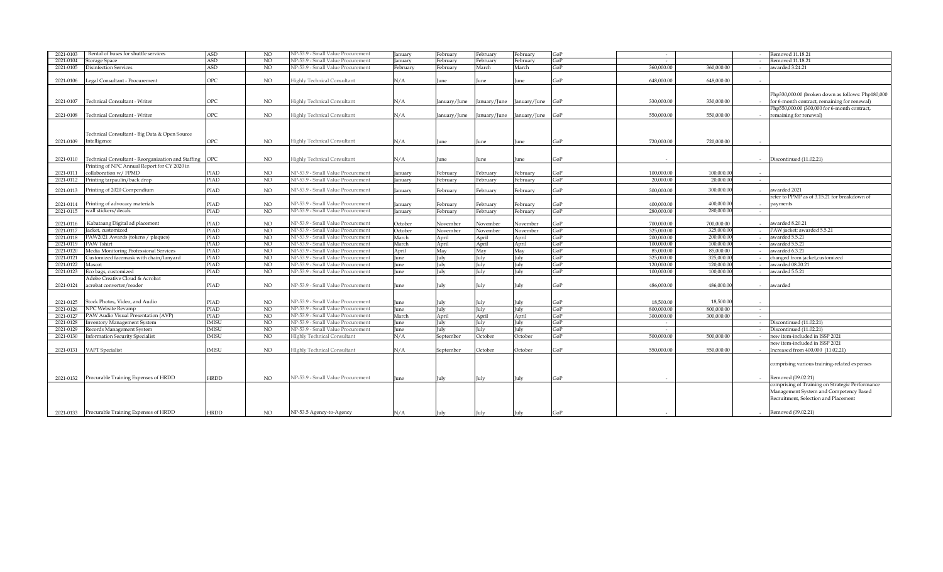| 2021-0103 | Rental of buses for shuttle services               | <b>ASD</b>   | NO.            | NP-53.9 - Small Value Procurement  | Januarv  | ebruary      | February     | February                  | GoP | $\sim$     |            |        | Removed 11.18.21                                  |
|-----------|----------------------------------------------------|--------------|----------------|------------------------------------|----------|--------------|--------------|---------------------------|-----|------------|------------|--------|---------------------------------------------------|
| 2021-0104 | Storage Space                                      | <b>ASD</b>   | NO             | NP-53.9 - Small Value Procurement  | anuary   | ebruary      | February     | ebruary:                  | GoP |            |            |        | Removed 11.18.21                                  |
| 2021-0105 | <b>Disinfection Services</b>                       | ASD          | NO.            | NP-53.9 - Small Value Procurement  | February | ebruary      | March        | March                     | GoP | 360,000.00 | 360,000,00 |        | awarded 3.24.21                                   |
|           |                                                    |              |                |                                    |          |              |              |                           |     |            |            |        |                                                   |
| 2021-0106 | Legal Consultant - Procurement                     | OPC          | NO.            | <b>Highly Technical Consultant</b> | N/A      | une          | une          | June                      | GoP | 648,000.00 | 648,000,00 |        |                                                   |
|           |                                                    |              |                |                                    |          |              |              |                           |     |            |            |        |                                                   |
|           |                                                    |              |                |                                    |          |              |              |                           |     |            |            |        | Php330,000.00 (broken down as follows: Php180,000 |
|           |                                                    | OPC          |                |                                    |          |              |              |                           |     | 330,000,00 | 330,000,00 |        | - for 6-month contract, remaining for renewal)    |
| 2021-0107 | Technical Consultant - Writer                      |              | NO             | Highly Technical Consultant        | N/A      | January/June | January/June | January/June              | GoP |            |            |        |                                                   |
|           |                                                    |              |                |                                    |          |              |              |                           |     |            |            |        | Php550,000.00 (300,000 for 6-month contract,      |
| 2021-0108 | Technical Consultant - Writer                      | OPC          | NO.            | <b>Highly Technical Consultant</b> | N/A      | January/June |              | January/June January/June | GoP | 550,000.00 | 550,000.00 |        | remaining for renewal)                            |
|           |                                                    |              |                |                                    |          |              |              |                           |     |            |            |        |                                                   |
|           |                                                    |              |                |                                    |          |              |              |                           |     |            |            |        |                                                   |
|           | Technical Consultant - Big Data & Open Source      |              |                |                                    |          |              |              |                           |     |            |            |        |                                                   |
| 2021-0109 | Intelligence                                       | OPC          | NO.            | <b>Highly Technical Consultant</b> | N/A      | June         | June         | June                      | GoP | 720,000.00 | 720,000.00 |        |                                                   |
|           |                                                    |              |                |                                    |          |              |              |                           |     |            |            |        |                                                   |
| 2021-0110 | Technical Consultant - Reorganization and Staffing | <b>OPC</b>   | NO.            | <b>Highly Technical Consultant</b> | N/A      |              |              |                           | GoP |            |            |        | - Discontinued (11.02.21)                         |
|           | Printing of NPC Annual Report for CY 2020 in       |              |                |                                    |          | une          | June         | June                      |     |            |            |        |                                                   |
|           |                                                    |              |                |                                    |          |              |              |                           |     |            | 100,000.00 |        |                                                   |
| 2021-0111 | collaboration w/ FPMD                              | PIAD         | NO.            | NP-53.9 - Small Value Procurement  | January  | February     | February     | February                  | GoP | 100,000.00 |            |        |                                                   |
| 2021-0112 | Printing tarpaulin/back drop                       | <b>PIAD</b>  | NO             | NP-53.9 - Small Value Procurement  | January  | February     | February     | February                  | GoP | 20,000.00  | 20,000.00  | $\sim$ |                                                   |
| 2021-0113 | Printing of 2020 Compendium                        | PIAD         | NO             | NP-53.9 - Small Value Procurement  | Ianuarv  | ebruary      | February     | February                  | GoP | 300,000.00 | 300,000.00 |        | awarded 2021                                      |
|           |                                                    |              |                |                                    |          |              |              |                           |     |            |            |        | refer to PPMP as of 3.15.21 for breakdown of      |
| 2021-0114 | Printing of advocacy materials                     | PIAD         | NO.            | NP-53.9 - Small Value Procurement  | January  | ebruary      | February     | February                  | GoP | 400,000.00 | 400.000.00 |        | payments                                          |
| 2021-0115 | wall stickers/decals                               | PIAD         | NO.            | NP-53.9 - Small Value Procurement  | January  | ebruary      | ebruary      | February                  | GoP | 280,000.00 | 280,000,0  |        |                                                   |
|           |                                                    |              |                |                                    |          |              |              |                           |     |            |            |        |                                                   |
| 2021-0116 | Kabataang Digital ad placement                     | PIAD         | NO.            | NP-53.9 - Small Value Procurement  | October  | November     | November     | November                  | GoP | 700.000.00 | 700,000,00 |        | - awarded $8.20.21$                               |
| 2021-0117 | Jacket, customized                                 | PIAD         | NO             | NP-53.9 - Small Value Procurement  | October  | Vovember     | November     | November                  | GoP | 325,000.00 | 325,000.0  |        | PAW jacket; awarded 5.5.21                        |
| 2021-0118 | PAW2021 Awards (tokens / plaques)                  | PIAD         | N <sub>O</sub> | NP-53.9 - Small Value Procurement  | March    |              |              |                           | GoP | 200,000,00 | 200.000.0  |        | awarded 5.5.21                                    |
| 2021-0119 | PAW Tshirt                                         | PIAD         | N <sub>O</sub> | NP-53.9 - Small Value Procurement  | March    | April        | April        | April                     | GoP | 100,000.00 | 100,000.0  |        | awarded 5.5.21                                    |
|           |                                                    |              |                |                                    |          | April        | April        | April                     |     |            |            |        |                                                   |
| 2021-0120 | Media Monitoring Professional Services             | <b>PIAD</b>  | N <sub>O</sub> | NP-53.9 - Small Value Procurement  | April    | May          | May          | May                       | GoP | 85,000.00  | 85,000.00  |        | awarded 6.3.21                                    |
| 2021-0121 | Customized facemask with chain/lanyard             | PIAD         | NO.            | NP-53.9 - Small Value Procurement  | June     | July         | July         | July                      | GoP | 325,000.00 | 325,000.0  |        | changed from jacket,customized                    |
| 2021-0122 | Mascot                                             | PIAD         | NO             | NP-53.9 - Small Value Procurement  | June     | uly          | July         | July                      | GoP | 120,000.00 | 120,000.0  |        | awarded 08.20.21                                  |
| 2021-0123 | Eco bags, customized                               | PIAD         | N <sub>O</sub> | NP-53.9 - Small Value Procurement  | une      | ulv          | July         | July                      | GoP | 100,000.00 | 100,000.0  |        | awarded 5.5.21                                    |
|           | Adobe Creative Cloud & Acrobat                     |              |                |                                    |          |              |              |                           |     |            |            |        |                                                   |
| 2021-0124 | acrobat converter/reader                           | PIAD         | NO             | NP-53.9 - Small Value Procurement  | June     | July         | July         | July                      | GoP | 486.000.00 | 486.000.00 |        | awarded                                           |
|           |                                                    |              |                |                                    |          |              |              |                           |     |            |            |        |                                                   |
| 2021-0125 | Stock Photos, Video, and Audio                     | PIAD         | <b>NO</b>      | NP-53.9 - Small Value Procurement  |          | ulv          | July         | July                      | GoP | 18,500.00  | 18,500.00  | $\sim$ |                                                   |
|           |                                                    |              |                | NP-53.9 - Small Value Procurement  | June     |              |              |                           |     |            | 800,000,00 |        |                                                   |
| 2021-0126 | NPC Website Revamp                                 | PIAD         | NO.            |                                    | June     | ulv          | July         | July                      | GoP | 800,000.00 |            | $\sim$ |                                                   |
| 2021-0127 | PAW Audio Visual Presentation (AVP)                | PIAD         | N <sub>O</sub> | NP-53.9 - Small Value Procurement  | March    | April        | April        | April                     | GoP | 300,000,00 | 300,000,00 |        |                                                   |
| 2021-0128 | <b>Inventory Management System</b>                 | <b>IMISU</b> | NO.            | NP-53.9 - Small Value Procurement  | une      | ulv          | July         | July                      | GoP | $\sim$     |            |        | Discontinued (11.02.21)                           |
| 2021-0129 | Records Management System                          | <b>IMISU</b> | <sub>NO</sub>  | NP-53.9 - Small Value Procurement  | June     | July         | July         | July                      | GoP | $\sim$     |            |        | Discontinued (11.02.21)                           |
| 2021-0130 | <b>Information Security Specialist</b>             | <b>IMISU</b> | N <sub>O</sub> | <b>HIghly Technical Consultant</b> | N/A      | September    | October      | October                   | GoP | 500,000,00 | 500,000,00 |        | new item-included in ISSP 2021                    |
|           |                                                    |              |                |                                    |          |              |              |                           |     |            |            |        | new item-included in ISSP 2021                    |
| 2021-0131 | VAPT Specialist                                    | <b>IMISU</b> | NO.            | HIghly Technical Consultant        | N/A      | September    | October      | October                   | GoP | 550,000.00 | 550,000.00 |        | Increased from 400,000 (11.02.21)                 |
|           |                                                    |              |                |                                    |          |              |              |                           |     |            |            |        |                                                   |
|           |                                                    |              |                |                                    |          |              |              |                           |     |            |            |        | comprising various training-related expenses      |
|           |                                                    |              |                |                                    |          |              |              |                           |     |            |            |        |                                                   |
| 2021-0132 | Procurable Training Expenses of HRDD               | <b>HRDD</b>  | NO.            | NP-53.9 - Small Value Procurement  | June     | July         | July         | July                      | GoP |            |            |        | - Removed (09.02.21)                              |
|           |                                                    |              |                |                                    |          |              |              |                           |     |            |            |        | comprising of Training on Strategic Performance   |
|           |                                                    |              |                |                                    |          |              |              |                           |     |            |            |        | Management System and Competency Based            |
|           |                                                    |              |                |                                    |          |              |              |                           |     |            |            |        | Recruitment, Selection and Placement              |
|           |                                                    |              |                |                                    |          |              |              |                           |     |            |            |        |                                                   |
|           | 2021-0133 Procurable Training Expenses of HRDD     | HRDD         |                | NP-53.5 Agency-to-Agency           |          |              |              |                           |     |            |            |        | - Removed (09.02.21)                              |
|           |                                                    |              | NO.            |                                    | N/A      | July         | July         | July                      | GoP |            |            |        |                                                   |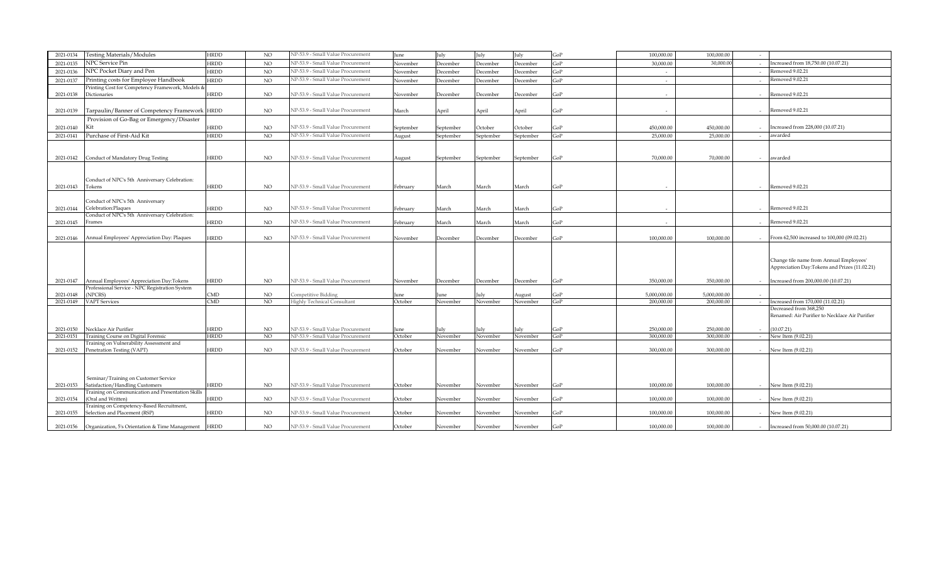| 2021-0134              | <b>Testing Materials/Modules</b>                                                            | <b>HRDD</b> | <b>NO</b>      | NP-53.9 - Small Value Procurement                  | June            | July            | July             | July               | GoP        | 100,000.00                 | 100,000.00                 |        |                                                                                                                                  |
|------------------------|---------------------------------------------------------------------------------------------|-------------|----------------|----------------------------------------------------|-----------------|-----------------|------------------|--------------------|------------|----------------------------|----------------------------|--------|----------------------------------------------------------------------------------------------------------------------------------|
| 2021-0135              | NPC Service Pin                                                                             | HRDD        | NO             | NP-53.9 - Small Value Procurement                  | November        | <b>December</b> | December         | December           | GoP        | 30,000.00                  | 30,000.0                   |        | Increased from 18,750.00 (10.07.21)                                                                                              |
| 2021-0136              | NPC Pocket Diary and Pen                                                                    | <b>HRDD</b> | NO             | NP-53.9 - Small Value Procurement                  | November        | <b>December</b> | December         | December           | GoP        | $\sim$                     |                            |        | Removed 9.02.21                                                                                                                  |
| 2021-0137              | Printing costs for Employee Handbook                                                        | <b>HRDD</b> | NO             | NP-53.9 - Small Value Procurement                  | November        | <b>December</b> | December         | December           | GoP        | $\sim$                     |                            | $\sim$ | Removed 9.02.21                                                                                                                  |
| 2021-0138              | Printing Cost for Competency Framework, Models &<br>Dictionaries                            | <b>HRDD</b> | $_{\rm NO}$    | NP-53.9 - Small Value Procurement                  | November        | December        | December         | December           | GoP        |                            |                            |        | Removed 9.02.21                                                                                                                  |
| 2021-0139              | Tarpaulin/Banner of Competency Framework HRDD                                               |             | NO.            | NP-53.9 - Small Value Procurement                  | March           | April           | April            | April              | GoP        |                            |                            | $\sim$ | Removed 9.02.21                                                                                                                  |
| 2021-0140              | Provision of Go-Bag or Emergency/Disaster<br>Kit                                            | HRDD        | NO.            | NP-53.9 - Small Value Procurement                  | September       | September       | October          | October            | GoP        | 450,000.00                 | 450,000.00                 |        | Increased from 228,000 (10.07.21)                                                                                                |
| 2021-0141              | Purchase of First-Aid Kit                                                                   | <b>HRDD</b> | NO.            | NP-53.9 - Small Value Procurement                  | August          | September       | September        | September          | GoP        | 25,000.00                  | 25,000.00                  |        | awarded                                                                                                                          |
| 2021-0142              | Conduct of Mandatory Drug Testing                                                           | <b>HRDD</b> | <b>NO</b>      | NP-53.9 - Small Value Procurement                  | August          | September       | September        | September          | GoP        | 70,000.00                  | 70,000.00                  |        | - awarded                                                                                                                        |
|                        | Conduct of NPC's 5th Anniversary Celebration:                                               |             |                |                                                    |                 |                 |                  |                    |            |                            |                            |        |                                                                                                                                  |
| 2021-0143              | Tokens                                                                                      | HRDD        | NO             | NP-53.9 - Small Value Procurement                  | February        | March           | March            | March              | GoP        |                            |                            |        | Removed 9.02.21                                                                                                                  |
| 2021-0144              | Conduct of NPC's 5th Anniversary<br>Celebration:Plaques                                     | HRDD        | NO             | NP-53.9 - Small Value Procurement                  | February        | March           | March            | March              | GoP        |                            |                            |        | Removed 9.02.21                                                                                                                  |
| 2021-0145              | Conduct of NPC's 5th Anniversary Celebration:<br>Frames                                     | <b>HRDD</b> | NO.            | NP-53.9 - Small Value Procurement                  | February        | March           | March            | March              | GoP        |                            |                            |        | Removed 9.02.21                                                                                                                  |
| 2021-0146              | Annual Employees' Appreciation Day: Plaques                                                 | HRDD        | NO             | NP-53.9 - Small Value Procurement                  | November        | <b>December</b> | December         | December           | GoP        | 100.000.00                 | 100,000.00                 |        | - From 62,500 increased to 100,000 (09.02.21)                                                                                    |
| 2021-0147              | Annual Employees' Appreciation Day:Tokens                                                   | HRDD        | NO             | NP-53.9 - Small Value Procurement                  | November        | December        | December         | December           | GoP        | 350,000.00                 | 350,000,00                 |        | Change tile name from Annual Employees'<br>Appreciation Day:Tokens and Prizes (11.02.21)<br>Increased from 200,000.00 (10.07.21) |
|                        | Professional Service - NPC Registration System                                              |             |                |                                                    |                 |                 |                  |                    |            |                            |                            |        |                                                                                                                                  |
| 2021-0148<br>2021-0149 | NPCRS)<br><b>VAPT</b> Services                                                              | CMD<br>CMD  | NO.<br>NO.     | Competitive Bidding<br>Highly Technical Consultant | June<br>October | une<br>November | July<br>November | August<br>November | GoP<br>GoP | 5.000.000.00<br>200,000.00 | 5.000.000.00<br>200,000.00 |        | Increased from 170,000 (11.02.21)                                                                                                |
|                        |                                                                                             |             |                |                                                    |                 |                 |                  |                    |            |                            |                            | $\sim$ | Decreased from 368,250<br>Renamed: Air Purifier to Necklace Air Purifier                                                         |
| 2021-0150              | Necklace Air Purifier                                                                       | <b>HRDD</b> | NO             | NP-53.9 - Small Value Procurement                  | June            | July            | July             | July               | GoP        | 250,000.00                 | 250,000,00                 |        | (10.07.21)                                                                                                                       |
| 2021-0151              | Training Course on Digital Forensic                                                         | <b>HRDD</b> | N <sub>O</sub> | NP-53.9 - Small Value Procurement                  | October         | November        | November         | November           | GoP        | 300,000.00                 | 300,000.00                 |        | New Item (9.02.21)                                                                                                               |
| 2021-0152              | Training on Vulnerability Assessment and<br>Penetration Testing (VAPT)                      | HRDD        | $_{\rm NO}$    | NP-53.9 - Small Value Procurement                  | October         | November        | November         | November           | GoP        | 300,000.00                 | 300,000,00                 |        | - New Item (9.02.21)                                                                                                             |
|                        | Seminar/Training on Customer Service                                                        |             |                |                                                    |                 |                 |                  |                    |            |                            |                            |        |                                                                                                                                  |
| 2021-0153              | Satisfaction/Handling Customers<br><b>Training on Communication and Presentation Skills</b> | HRDD        | NO.            | NP-53.9 - Small Value Procurement                  | October         | November        | November         | November           | GoP        | 100.000.00                 | 100,000.00                 |        | New Item (9.02.21)                                                                                                               |
| 2021-0154              | (Oral and Written)                                                                          | HRDD        | <b>NO</b>      | NP-53.9 - Small Value Procurement                  | October         | November        | November         | November           | GoP        | 100,000.00                 | 100,000.00                 |        | - New Item (9.02.21)                                                                                                             |
| 2021-0155              | Fraining on Competency-Based Recruitment,<br>Selection and Placement (RSP)                  | HRDD        | <b>NO</b>      | NP-53.9 - Small Value Procurement                  | October         | November        | November         | November           | GoP        | 100,000.00                 | 100,000.00                 |        | New Item (9.02.21)                                                                                                               |
|                        | 2021-0156 Organization, 5's Orientation & Time Management                                   | <b>HRDD</b> | $_{\rm NO}$    | NP-53.9 - Small Value Procurement                  | October         | November        | November         | November           | GoP        | 100.000.00                 | 100,000,00                 |        | - Increased from 50,000.00 (10.07.21)                                                                                            |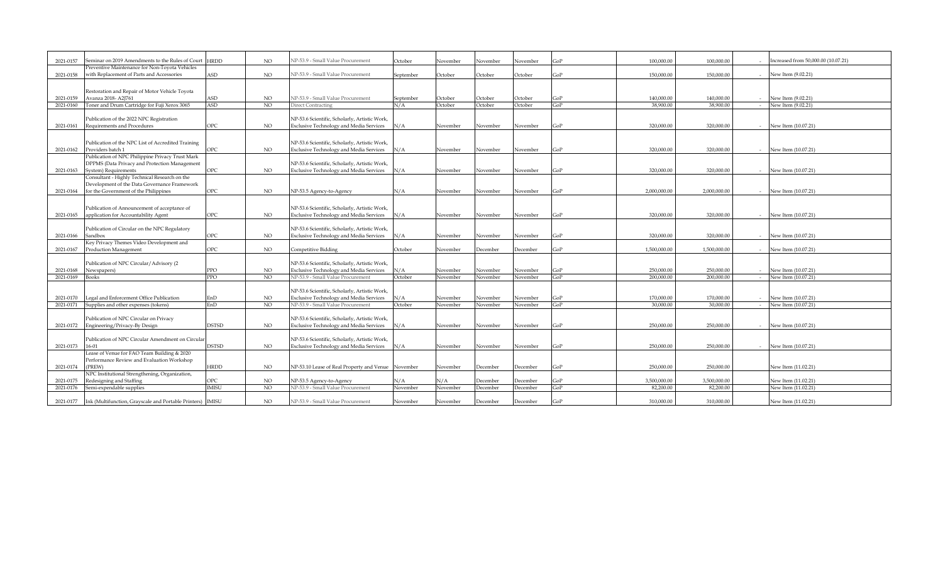| 2021-0157 | Seminar on 2019 Amendments to the Rules of Court           | <b>HRDD</b>   | NO.            | NP-53.9 - Small Value Procurement                                                               | October   | November | November           | November           | GoP        | 100,000.00              | 100,000.00              |        | Increased from 50,000.00 (10.07.21) |
|-----------|------------------------------------------------------------|---------------|----------------|-------------------------------------------------------------------------------------------------|-----------|----------|--------------------|--------------------|------------|-------------------------|-------------------------|--------|-------------------------------------|
|           | Preventive Maintenance for Non-Toyota Vehicles             |               |                |                                                                                                 |           |          |                    |                    |            |                         |                         |        |                                     |
| 2021-0158 | with Replacement of Parts and Accessories                  | ASD           | NO             | NP-53.9 - Small Value Procurement                                                               | September | October  | October            | October            | GoP        | 150,000.00              | 150,000,00              |        | New Item (9.02.21)                  |
|           |                                                            |               |                |                                                                                                 |           |          |                    |                    |            |                         |                         |        |                                     |
|           |                                                            |               |                |                                                                                                 |           |          |                    |                    |            |                         |                         |        |                                     |
|           | Restoration and Repair of Motor Vehicle Toyota             |               |                |                                                                                                 |           |          |                    |                    |            |                         |                         |        |                                     |
| 2021-0159 | Avanza 2018- A2J761                                        | ASD<br>ASD    | NO.<br>NO.     | NP-53.9 - Small Value Procurement                                                               | September | October  | October<br>October | October<br>October | GoP<br>GoP | 140,000.00<br>38,900.00 | 140,000.00<br>38,900.00 |        | - New Item (9.02.21)                |
| 2021-0160 | Toner and Drum Cartridge for Fuji Xerox 3065               |               |                | Direct Contracting                                                                              | N/A       | October  |                    |                    |            |                         |                         |        | - New Item (9.02.21)                |
|           | Publication of the 2022 NPC Registration                   |               |                | NP-53.6 Scientific, Scholarly, Artistic Work,                                                   |           |          |                    |                    |            |                         |                         |        |                                     |
| 2021-0161 | Requirements and Procedures                                | OPC           | NO.            | Exclusive Technology and Media Services                                                         | N/A       | November | November           | November           | GoP        | 320,000.00              | 320,000.00              |        | - New Item (10.07.21)               |
|           |                                                            |               |                |                                                                                                 |           |          |                    |                    |            |                         |                         |        |                                     |
|           |                                                            |               |                |                                                                                                 |           |          |                    |                    |            |                         |                         |        |                                     |
|           | Publication of the NPC List of Accredited Training         |               |                | NP-53.6 Scientific, Scholarly, Artistic Work,                                                   |           |          |                    |                    |            |                         |                         |        |                                     |
| 2021-0162 | Providers batch 1                                          | $_{\rm{DPC}}$ | NO.            | Exclusive Technology and Media Services                                                         | N/A       | November | November           | November           | GoP        | 320,000.00              | 320,000.00              |        | - New Item (10.07.21)               |
|           | Publication of NPC Philippine Privacy Trust Mark           |               |                |                                                                                                 |           |          |                    |                    |            |                         |                         |        |                                     |
|           | DPPMS (Data Privacy and Protection Management              |               |                | NP-53.6 Scientific, Scholarly, Artistic Work,                                                   |           |          |                    |                    |            |                         |                         |        |                                     |
| 2021-0163 | System) Requirements                                       | OPC           | NO.            | Exclusive Technology and Media Services                                                         | N/A       | November | November           | November           | GoP        | 320,000.00              | 320,000.00              |        | - New Item (10.07.21)               |
|           | Consultant - Highly Technical Research on the              |               |                |                                                                                                 |           |          |                    |                    |            |                         |                         |        |                                     |
|           | Development of the Data Governance Framework               |               |                |                                                                                                 |           |          |                    |                    |            |                         |                         |        |                                     |
| 2021-0164 | for the Government of the Philippines                      | OPC           | NO.            | NP-53.5 Agency-to-Agency                                                                        | N/A       | November | November           | November           | GoP        | 2.000.000.00            | 2.000.000.00            |        | - New Item (10.07.21)               |
|           |                                                            |               |                |                                                                                                 |           |          |                    |                    |            |                         |                         |        |                                     |
|           | Publication of Announcement of acceptance of               |               |                | NP-53.6 Scientific, Scholarly, Artistic Work,                                                   |           |          |                    |                    |            |                         |                         |        |                                     |
| 2021-0165 | application for Accountability Agent                       | OPC           | NO.            | Exclusive Technology and Media Services                                                         | N/A       | November | November           | November           | GoP        | 320,000.00              | 320,000.00              |        | - New Item (10.07.21)               |
|           |                                                            |               |                |                                                                                                 |           |          |                    |                    |            |                         |                         |        |                                     |
|           | Publication of Circular on the NPC Regulatory              |               |                | NP-53.6 Scientific, Scholarly, Artistic Work,                                                   |           |          |                    |                    |            |                         |                         |        |                                     |
| 2021-0166 | Sandbox                                                    | OPC           | NO.            | Exclusive Technology and Media Services                                                         | N/A       | November | <b>November</b>    | November           | GoP        | 320,000.00              | 320,000.00              |        | New Item (10.07.21)                 |
|           | Key Privacy Themes Video Development and                   |               |                |                                                                                                 |           |          |                    |                    |            |                         |                         |        |                                     |
| 2021-0167 | Production Management                                      | OPC           | <b>NO</b>      | Competitive Bidding                                                                             | October   | November | <b>December</b>    | December           | GoP        | 1,500,000,00            | 1,500,000,00            |        | - New Item (10.07.21)               |
|           |                                                            |               |                |                                                                                                 |           |          |                    |                    |            |                         |                         |        |                                     |
|           | Publication of NPC Circular/Advisory (2                    |               |                | NP-53.6 Scientific, Scholarly, Artistic Work,                                                   |           |          |                    |                    |            |                         |                         |        |                                     |
| 2021-0168 | Newspapers)                                                | PPO           | NO.            | Exclusive Technology and Media Services                                                         | N/A       | November | November           | November           | GoP        | 250,000.00              | 250,000.00              |        | New Item (10.07.21)                 |
| 2021-0169 | <b>Books</b>                                               | PPO           | N <sub>O</sub> | NP-53.9 - Small Value Procurement                                                               | October   | November | November           | November           | GoP        | 200,000,00              | 200,000.00              | $\sim$ | New Item (10.07.21)                 |
|           |                                                            |               |                |                                                                                                 |           |          |                    |                    |            |                         |                         |        |                                     |
| 2021-0170 | Legal and Enforcement Office Publication                   | EnD           | NO.            | NP-53.6 Scientific, Scholarly, Artistic Work,<br><b>Exclusive Technology and Media Services</b> | N/A       | November | Vovember           | November           | GoP        | 170,000.00              | 170,000.00              |        | - New Item (10.07.21)               |
| 2021-0171 | Supplies and other expenses (tokens)                       | EnD           | NO             | NP-53.9 - Small Value Procurement                                                               | October   | November | November           | November           | GoP        | 30,000.00               | 30,000,00               |        | - New Item $(10.07.21)$             |
|           |                                                            |               |                |                                                                                                 |           |          |                    |                    |            |                         |                         |        |                                     |
|           | Publication of NPC Circular on Privacy                     |               |                | NP-53.6 Scientific, Scholarly, Artistic Work,                                                   |           |          |                    |                    |            |                         |                         |        |                                     |
| 2021-0172 | Engineering/Privacy-By Design                              | <b>DSTSD</b>  | NO.            | <b>Exclusive Technology and Media Services</b>                                                  | N/A       | November | November           | November           | GoP        | 250,000.00              | 250,000.00              |        | New Item (10.07.21)                 |
|           |                                                            |               |                |                                                                                                 |           |          |                    |                    |            |                         |                         |        |                                     |
|           | Publication of NPC Circular Amendment on Circular          |               |                | NP-53.6 Scientific, Scholarly, Artistic Work,                                                   |           |          |                    |                    |            |                         |                         |        |                                     |
| 2021-0173 | $16 - 01$                                                  | DSTSD         | NO             | Exclusive Technology and Media Services                                                         | N/A       | November | November           | November           | GoP        | 250,000.00              | 250,000.00              |        | New Item (10.07.21)                 |
|           | Lease of Venue for FAO Team Building & 2020                |               |                |                                                                                                 |           |          |                    |                    |            |                         |                         |        |                                     |
|           | Performance Review and Evaluation Workshop                 |               |                |                                                                                                 |           |          |                    |                    |            |                         |                         |        |                                     |
| 2021-0174 | (PREW)                                                     | <b>HRDD</b>   | NO.            | NP-53.10 Lease of Real Property and Venue November                                              |           | November | December           | December           | GoP        | 250,000.00              | 250,000.00              |        | New Item (11.02.21)                 |
|           | NPC Institutional Strengthening, Organization,             |               |                |                                                                                                 |           |          |                    |                    |            |                         |                         |        |                                     |
| 2021-0175 | Redesigning and Staffing                                   | OPC           | NO.            | NP-53.5 Agency-to-Agency                                                                        | N/A       | N/A      | <b>December</b>    | December           | GoP        | 3,500,000,00            | 3,500,000.00            |        | New Item (11.02.21)                 |
| 2021-0176 | Semi-expendable supplies                                   | <b>IMISU</b>  | NO             | NP-53.9 - Small Value Procurement                                                               | November  | Vovember | <b>December</b>    | <b>December</b>    | GoP        | 82,200.00               | 82,200.00               |        | New Item (11.02.21)                 |
|           |                                                            |               |                |                                                                                                 |           |          |                    |                    |            |                         |                         |        |                                     |
| 2021-0177 | Ink (Multifunction, Grayscale and Portable Printers) IMISU |               | NO.            | NP-53.9 - Small Value Procurement                                                               | November  | November | December           | December           | GoP        | 310,000.00              | 310,000.00              |        | New Item (11.02.21)                 |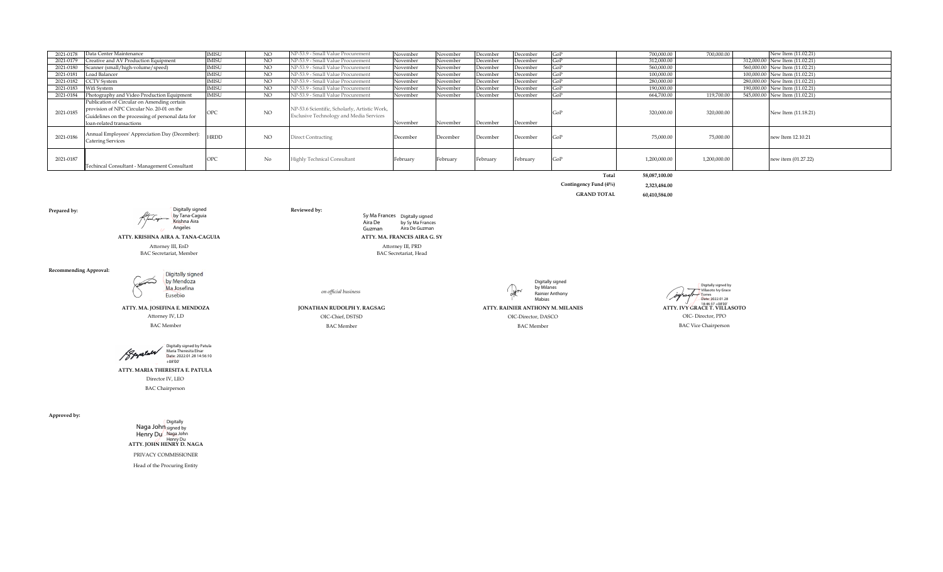| 2021-0178 | Data Center Maintenance                                                                                                                                                     | <b>IMISU</b> | NO. | NP-53.9 - Small Value Procurement                                                        | November | November | December | December | GoP | 700.000.00   | 700.000.00   | New Item (11.02.21)            |
|-----------|-----------------------------------------------------------------------------------------------------------------------------------------------------------------------------|--------------|-----|------------------------------------------------------------------------------------------|----------|----------|----------|----------|-----|--------------|--------------|--------------------------------|
| 2021-0179 | Creative and AV Production Equipment                                                                                                                                        | <b>IMISU</b> | NO  | NP-53.9 - Small Value Procurement                                                        | November | November | December | December | GoP | 312,000.00   |              | 312,000.00 New Item (11.02.21) |
| 2021-0180 | Scanner (small/high-volume/speed)                                                                                                                                           | <b>IMISU</b> | NO. | NP-53.9 - Small Value Procurement                                                        | November | November | December | December | GoP | 560,000.00   |              | 560,000,00 New Item (11.02.21) |
| 2021-0181 | Load Balancer                                                                                                                                                               | <b>IMISU</b> | NO  | NP-53.9 - Small Value Procurement                                                        | November | November | December | December | GoP | 100,000.00   |              | 100,000.00 New Item (11.02.21) |
| 2021-0182 | <b>CCTV</b> System                                                                                                                                                          | <b>IMISU</b> | NO. | NP-53.9 - Small Value Procurement                                                        | November | November | December | December | GoP | 280.000.00   |              | 280,000,00 New Item (11.02.21) |
| 2021-0183 | Wifi System                                                                                                                                                                 | IMISU        | NO  | NP-53.9 - Small Value Procurement                                                        | November | November | December | December |     | 190,000.00   |              | 190,000.00 New Item (11.02.21) |
| 2021-0184 | Photography and Video Production Equipment                                                                                                                                  | <b>IMISU</b> | NO. | NP-53.9 - Small Value Procurement                                                        | November | November | December | December | GoP | 664.700.00   | 119.700.00   | 545,000,00 New Item (11.02.21) |
| 2021-0185 | Publication of Circular on Amending certain<br>provision of NPC Circular No. 20-01 on the<br>Guidelines on the processing of personal data for<br>loan-related transactions |              | NO. | NP-53.6 Scientific, Scholarly, Artistic Work,<br>Exclusive Technology and Media Services | November | November | December | December |     | 320,000.00   | 320,000.00   | New Item (11.18.21)            |
| 2021-0186 | Annual Employees' Appreciation Day (December): HRDD<br><b>Catering Services</b>                                                                                             |              | NO  | <b>Direct Contracting</b>                                                                | December | December | December | December | GoP | 75,000.00    | 75,000.00    | new Item 12.10.21              |
| 2021-0187 | Techincal Consultant - Management Consultant                                                                                                                                | OPC          | No  | Highly Technical Consultant                                                              | February | February | February | February | GoP | 1,200,000.00 | 1,200,000.00 | new item (01.27.22)            |

| 58.087.100.00 | Total                 |
|---------------|-----------------------|
| 2.323.484.00  | Contingency Fund (4%) |
| 60,410,584.00 | <b>GRAND TOTAL</b>    |

**Prepared by: Reviewed by:** *Reviewed by: Reviewed by: Reviewed by: Reviewed by:* 

**ATTY. KRISHNA AIRA A. TANA-CAGUIA ATTY. MA. FRANCES AIRA G. SY**

Digitally signed by Tana-Caguia<br>Krishna Aira Angeles

Attorney III, EnD Attorney III, PRD Attorney III, PRD Attorney III, PRD Attorney III, PRD Attorney III, PRD Attorney III, PRD Attorney III, PRD Attorney III, PRD Attorney III, PRD Attorney III, PRD Attorney III, PRD Attorn BAC Secretariat, Member

#### **Recommending Approval:**



 **ATTY. MA. JOSEFINA E. MENDOZA** 

 Attorney IV, LD BAC Member



**ATTY. MARIA THERESITA E. PATULA**

Director IV, LEO

BAC Chairperson

**Approved by:**

|                          | Digitally |
|--------------------------|-----------|
| Naga John signed by      |           |
| Henry Du                 | Naga John |
|                          | Henry Du  |
| ATTY. JOHN HENRY D. NAGA |           |
|                          |           |

PRIVACY COMMISSIONER

Head of the Procuring Entity

*on official business*

BAC Member BAC Member BAC Member BAC Member BAC Member BAC Vice Chairperson

Sy Ma Frances Aira De Digitally signed by Sy Ma Frances

Aira De Guzman

Guzman



**JONATHAN RUDOLPH Y. RAGSAG ATTY. RAINIER ANTHONY M. MILANES** 

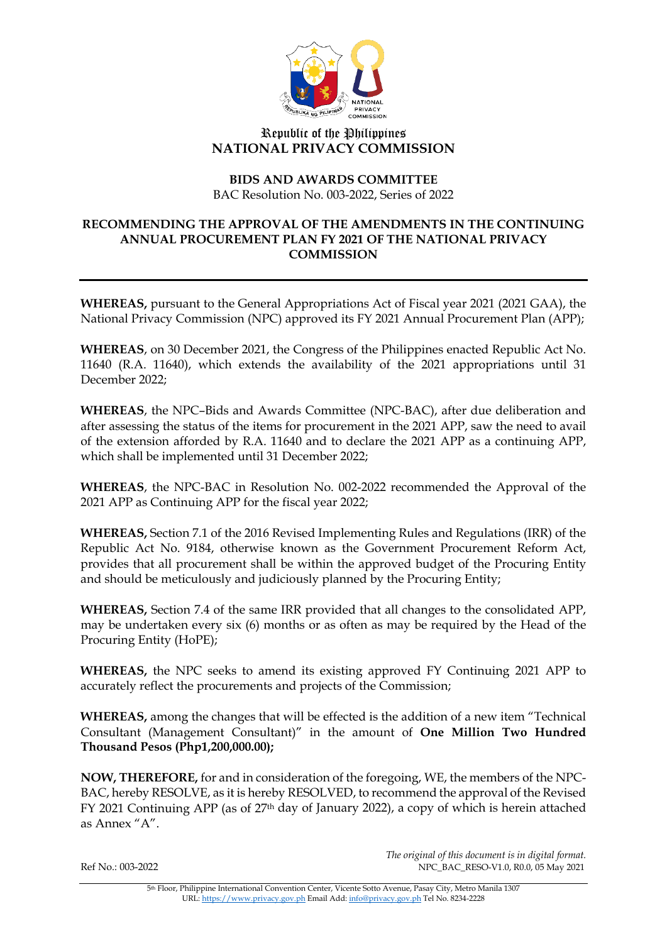

## Republic of the Philippines **NATIONAL PRIVACY COMMISSION**

## **BIDS AND AWARDS COMMITTEE** BAC Resolution No. 003-2022, Series of 2022

## **RECOMMENDING THE APPROVAL OF THE AMENDMENTS IN THE CONTINUING ANNUAL PROCUREMENT PLAN FY 2021 OF THE NATIONAL PRIVACY COMMISSION**

**WHEREAS,** pursuant to the General Appropriations Act of Fiscal year 2021 (2021 GAA), the National Privacy Commission (NPC) approved its FY 2021 Annual Procurement Plan (APP);

**WHEREAS**, on 30 December 2021, the Congress of the Philippines enacted Republic Act No. 11640 (R.A. 11640), which extends the availability of the 2021 appropriations until 31 December 2022;

**WHEREAS**, the NPC–Bids and Awards Committee (NPC-BAC), after due deliberation and after assessing the status of the items for procurement in the 2021 APP, saw the need to avail of the extension afforded by R.A. 11640 and to declare the 2021 APP as a continuing APP, which shall be implemented until 31 December 2022;

**WHEREAS**, the NPC-BAC in Resolution No. 002-2022 recommended the Approval of the 2021 APP as Continuing APP for the fiscal year 2022;

**WHEREAS,** Section 7.1 of the 2016 Revised Implementing Rules and Regulations (IRR) of the Republic Act No. 9184, otherwise known as the Government Procurement Reform Act, provides that all procurement shall be within the approved budget of the Procuring Entity and should be meticulously and judiciously planned by the Procuring Entity;

**WHEREAS,** Section 7.4 of the same IRR provided that all changes to the consolidated APP, may be undertaken every six (6) months or as often as may be required by the Head of the Procuring Entity (HoPE);

**WHEREAS,** the NPC seeks to amend its existing approved FY Continuing 2021 APP to accurately reflect the procurements and projects of the Commission;

**WHEREAS,** among the changes that will be effected is the addition of a new item "Technical Consultant (Management Consultant)" in the amount of **One Million Two Hundred Thousand Pesos (Php1,200,000.00);**

**NOW, THEREFORE,** for and in consideration of the foregoing, WE, the members of the NPC-BAC, hereby RESOLVE, as it is hereby RESOLVED, to recommend the approval of the Revised FY 2021 Continuing APP (as of 27th day of January 2022), a copy of which is herein attached as Annex "A".

*The original of this document is in digital format.*  Ref No.: 003-2022 NPC\_BAC\_RESO-V1.0, R0.0, 05 May 2021

> 5th Floor, Philippine International Convention Center, Vicente Sotto Avenue, Pasay City, Metro Manila 1307 URL[: https://www.privacy.gov.ph](https://www.privacy.gov.ph/) Email Add[: info@privacy.gov.ph](mailto:info@privacy.gov.ph) Tel No. 8234-2228